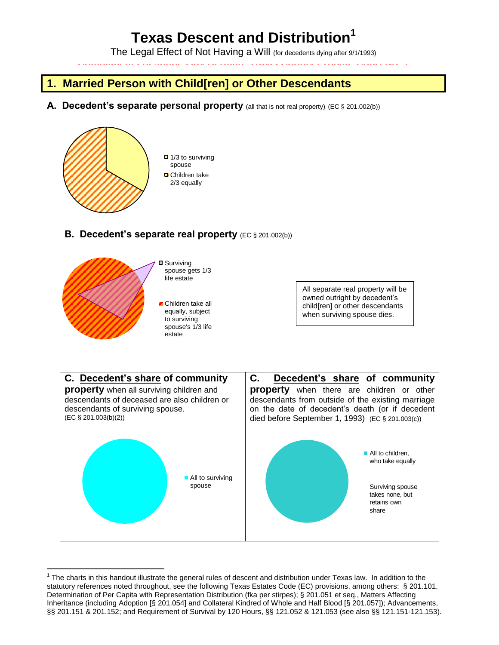# **Texas Descent and Distribution<sup>1</sup>**

The Legal Effect of Not Having a Will (for decedents dying after 9/1/1993)

**Compliments of Judge Guy Herman, Travis County Probate Court No. 1** 

# **1. Married Person with Child[ren] or Other Descendants**

A. Decedent's separate personal property (all that is not real property) (EC § 201.002(b))



 $\Box$  1/3 to surviving spouse **D** Children take 2/3 equally

### **B. Decedent's separate real property** (EC § 201.002(b))



**□** Surviving spouse gets 1/3 life estate

Children take all equally, subject to surviving spouse's 1/3 life estate

All separate real property will be owned outright by decedent's child[ren] or other descendants when surviving spouse dies.



 $\overline{a}$  $1$  The charts in this handout illustrate the general rules of descent and distribution under Texas law. In addition to the statutory references noted throughout, see the following Texas Estates Code (EC) provisions, among others: § 201.101, Determination of Per Capita with Representation Distribution (fka per stirpes); § 201.051 et seq., Matters Affecting Inheritance (including Adoption [§ 201.054] and Collateral Kindred of Whole and Half Blood [§ 201.057]); Advancements, §§ 201.151 & 201.152; and Requirement of Survival by 120 Hours, §§ 121.052 & 121.053 (see also §§ 121.151-121.153).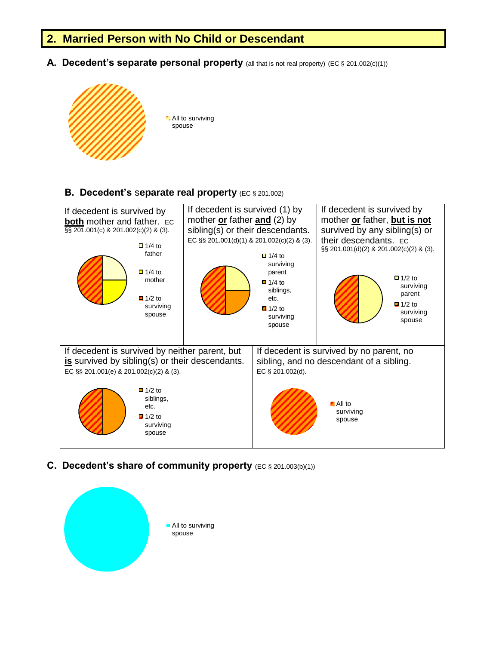### **2. Married Person with No Child or Descendant**

A. Decedent's separate personal property (all that is not real property) (EC § 201.002(c)(1))



**All to surviving** spouse

#### **B. Decedent's** s**eparate real property** (EC § 201.002)



**C. Decedent's share of community property** (EC § 201.003(b)(1))